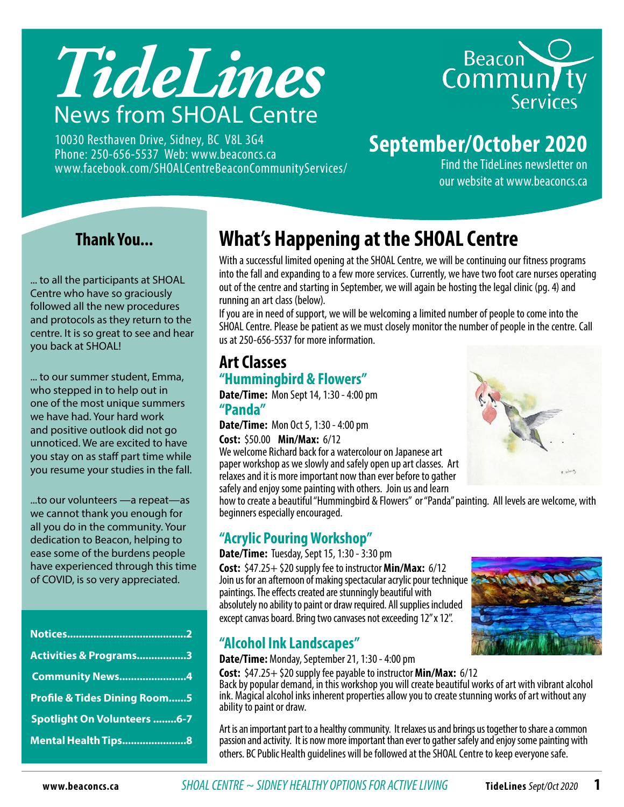

10030 Resthaven Drive, Sidney, BC V8L 3G4 Phone: 250-656-5537 Web: www.beaconcs.ca www.facebook.com/SHOALCentreBeaconCommunityServices/



## **September/October 2020**

Find the TideLines newsletter on our website at www.beaconcs.ca

#### **Thank You...**

... to all the participants at SHOAL Centre who have so graciously followed all the new procedures and protocols as they return to the centre. It is so great to see and hear you back at SHOAL!

... to our summer student, Emma, who stepped in to help out in one of the most unique summers we have had. Your hard work and positive outlook did not go unnoticed. We are excited to have you stay on as staff part time while you resume your studies in the fall.

...to our volunteers —a repeat—as we cannot thank you enough for all you do in the community. Your dedication to Beacon, helping to ease some of the burdens people have experienced through this time of COVID, is so very appreciated.

| Activities & Programs3                  |  |
|-----------------------------------------|--|
| <b>Community News4</b>                  |  |
| <b>Profile &amp; Tides Dining Room5</b> |  |
| Spotlight On Volunteers 6-7             |  |
| Mental Health Tips8                     |  |

## **What's Happening at the SHOAL Centre**

With a successful limited opening at the SHOAL Centre, we will be continuing our fitness programs into the fall and expanding to a few more services. Currently, we have two foot care nurses operating out of the centre and starting in September, we will again be hosting the legal clinic (pg. 4) and running an art class (below).

If you are in need of support, we will be welcoming a limited number of people to come into the SHOAL Centre. Please be patient as we must closely monitor the number of people in the centre. Call us at 250-656-5537 for more information.

#### **Art Classes "Hummingbird & Flowers"**

**Date/Time:** Mon Sept 14, 1:30 - 4:00 pm **"Panda"** 

**Date/Time:** Mon Oct 5, 1:30 - 4:00 pm **Cost:** \$50.00 **Min/Max:** 6/12

We welcome Richard back for a watercolour on Japanese art paper workshop as we slowly and safely open up art classes. Art relaxes and it is more important now than ever before to gather safely and enjoy some painting with others. Join us and learn

how to create a beautiful "Hummingbird & Flowers" or "Panda" painting. All levels are welcome, with beginners especially encouraged.

#### **"Acrylic Pouring Workshop"**

**Date/Time:** Tuesday, Sept 15, 1:30 - 3:30 pm **Cost:** \$47.25+ \$20 supply fee to instructor **Min/Max:** 6/12 Join us for an afternoon of making spectacular acrylic pour technique paintings. The effects created are stunningly beautiful with absolutely no ability to paint or draw required. All supplies included except canvas board. Bring two canvases not exceeding 12" x 12".

#### **"Alcohol Ink Landscapes"**

**Date/Time:** Monday, September 21, 1:30 - 4:00 pm

**Cost:** \$47.25+ \$20 supply fee payable to instructor **Min/Max:** 6/12 Back by popular demand, in this workshop you will create beautiful works of art with vibrant alcohol ink. Magical alcohol inks inherent properties allow you to create stunning works of art without any ability to paint or draw.

Art is an important part to a healthy community. It relaxes us and brings us together to share a common passion and activity. It is now more important than ever to gather safely and enjoy some painting with others. BC Public Health guidelines will be followed at the SHOAL Centre to keep everyone safe.



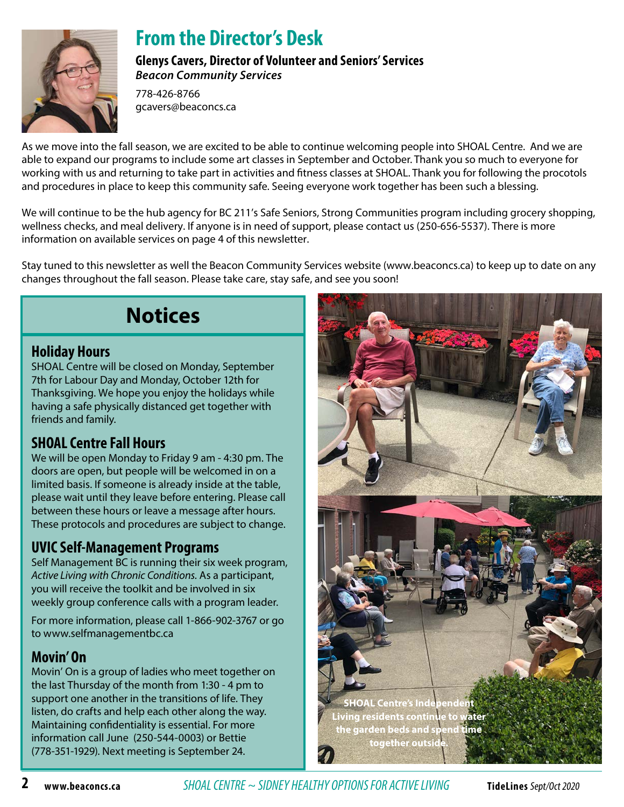

## **From the Director's Desk**

**Glenys Cavers, Director of Volunteer and Seniors' Services** *Beacon Community Services*

778-426-8766 gcavers@beaconcs.ca

As we move into the fall season, we are excited to be able to continue welcoming people into SHOAL Centre. And we are able to expand our programs to include some art classes in September and October. Thank you so much to everyone for working with us and returning to take part in activities and fitness classes at SHOAL. Thank you for following the procotols and procedures in place to keep this community safe. Seeing everyone work together has been such a blessing.

We will continue to be the hub agency for BC 211's Safe Seniors, Strong Communities program including grocery shopping, wellness checks, and meal delivery. If anyone is in need of support, please contact us (250-656-5537). There is more information on available services on page 4 of this newsletter.

Stay tuned to this newsletter as well the Beacon Community Services website (www.beaconcs.ca) to keep up to date on any changes throughout the fall season. Please take care, stay safe, and see you soon!

## **Notices**

#### **Holiday Hours**

SHOAL Centre will be closed on Monday, September 7th for Labour Day and Monday, October 12th for Thanksgiving. We hope you enjoy the holidays while having a safe physically distanced get together with friends and family.

#### **SHOAL Centre Fall Hours**

We will be open Monday to Friday 9 am - 4:30 pm. The doors are open, but people will be welcomed in on a limited basis. If someone is already inside at the table, please wait until they leave before entering. Please call between these hours or leave a message after hours. These protocols and procedures are subject to change.

#### **UVIC Self-Management Programs**

Self Management BC is running their six week program, *Active Living with Chronic Conditions.* As a participant, you will receive the toolkit and be involved in six weekly group conference calls with a program leader.

For more information, please call 1-866-902-3767 or go to www.selfmanagementbc.ca

#### **Movin' On**

Movin' On is a group of ladies who meet together on the last Thursday of the month from 1:30 - 4 pm to support one another in the transitions of life. They listen, do crafts and help each other along the way. Maintaining confidentiality is essential. For more information call June (250-544-0003) or Bettie (778-351-1929). Next meeting is September 24.



**2 www.beaconcs.ca** *SHOAL CENTRE ~ SIDNEY HEALTHY OPTIONS FOR ACTIVE LIVING* **TideLines** Sept/Oct 2020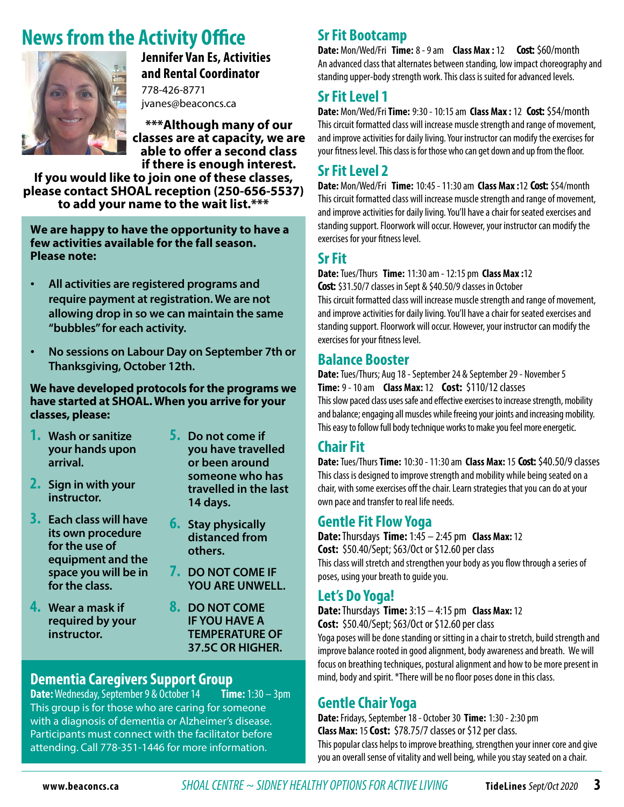## **News from the Activity Office**



**Jennifer Van Es, Activities and Rental Coordinator**

778-426-8771 jvanes@beaconcs.ca

**\*\*\*Although many of our classes are at capacity, we are able to offer a second class if there is enough interest.** 

**If you would like to join one of these classes, please contact SHOAL reception (250-656-5537) to add your name to the wait list.\*\*\*** 

**We are happy to have the opportunity to have a few activities available for the fall season. Please note:**

- • **All activities are registered programs and require payment at registration. We are not allowing drop in so we can maintain the same "bubbles" for each activity.**
- • **No sessions on Labour Day on September 7th or Thanksgiving, October 12th.**

**We have developed protocols for the programs we have started at SHOAL. When you arrive for your classes, please:**

- **1. Wash or sanitize your hands upon arrival.**
- **2. Sign in with your instructor.**
- **3. Each class will have its own procedure for the use of equipment and the space you will be in for the class.**
- **4. Wear a mask if required by your instructor.**
- **5. Do not come if you have travelled or been around someone who has travelled in the last 14 days.**
- **6. Stay physically distanced from others.**
- **7. DO NOT COME IF YOU ARE UNWELL.**
- **8. DO NOT COME IF YOU HAVE A TEMPERATURE OF 37.5C OR HIGHER.**

## **Dementia Caregivers Support Group**<br>**Date:** Wednesday, September 9 & October 14 Time: 1:30 - 3pm

**Date:** Wednesday, September 9 & October 14 This group is for those who are caring for someone with a diagnosis of dementia or Alzheimer's disease. Participants must connect with the facilitator before attending. Call 778-351-1446 for more information.

#### **Sr Fit Bootcamp**

**Date:** Mon/Wed/Fri **Time:** 8 - 9 am **Class Max :** 12 **Cost:** \$60/month An advanced class that alternates between standing, low impact choreography and standing upper-body strength work. This class is suited for advanced levels.

#### **Sr Fit Level 1**

**Date:** Mon/Wed/Fri **Time:** 9:30 - 10:15 am **Class Max :** 12 **Cost:** \$54/month This circuit formatted class will increase muscle strength and range of movement, and improve activities for daily living. Your instructor can modify the exercises for your fitness level. This class is for those who can get down and up from the floor.

#### **Sr Fit Level 2**

**Date:** Mon/Wed/Fri **Time:** 10:45 - 11:30 am **Class Max :**12 **Cost:** \$54/month This circuit formatted class will increase muscle strength and range of movement, and improve activities for daily living. You'll have a chair for seated exercises and standing support. Floorwork will occur. However, your instructor can modify the exercises for your fitness level.

#### **Sr Fit**

**Date:** Tues/Thurs **Time:** 11:30 am - 12:15 pm **Class Max :**12 **Cost:** \$31.50/7 classes in Sept & \$40.50/9 classes in October This circuit formatted class will increase muscle strength and range of movement, and improve activities for daily living. You'll have a chair for seated exercises and standing support. Floorwork will occur. However, your instructor can modify the exercises for your fitness level.

#### **Balance Booster**

**Date:** Tues/Thurs; Aug 18 - September 24 & September 29 - November 5 **Time:** 9 - 10 am **Class Max:** 12**Cost:** \$110/12 classes This slow paced class uses safe and effective exercises to increase strength, mobility and balance; engaging all muscles while freeing your joints and increasing mobility. This easy to follow full body technique works to make you feel more energetic.

#### **Chair Fit**

**Date:** Tues/Thurs **Time:** 10:30 - 11:30 am **Class Max:** 15**Cost:** \$40.50/9 classes This class is designed to improve strength and mobility while being seated on a chair, with some exercises off the chair. Learn strategies that you can do at your own pace and transfer to real life needs.

#### **Gentle Fit Flow Yoga**

**Date:** Thursdays **Time:** 1:45 – 2:45 pm **Class Max:** 12 **Cost:** \$50.40/Sept; \$63/Oct or \$12.60 per class This class will stretch and strengthen your body as you flow through a series of poses, using your breath to guide you.

#### **Let's Do Yoga!**

**Date:** Thursdays **Time:** 3:15 – 4:15 pm **Class Max:** 12 **Cost:** \$50.40/Sept; \$63/Oct or \$12.60 per class

Yoga poses will be done standing or sitting in a chair to stretch, build strength and improve balance rooted in good alignment, body awareness and breath. We will focus on breathing techniques, postural alignment and how to be more present in mind, body and spirit. \*There will be no floor poses done in this class.

#### **Gentle Chair Yoga**

**Date:**Fridays, September 18 - October 30 **Time:** 1:30 - 2:30 pm **Class Max:** 15**Cost:** \$78.75/7 classes or \$12 per class. This popular class helps to improve breathing, strengthen your inner core and give you an overall sense of vitality and well being, while you stay seated on a chair.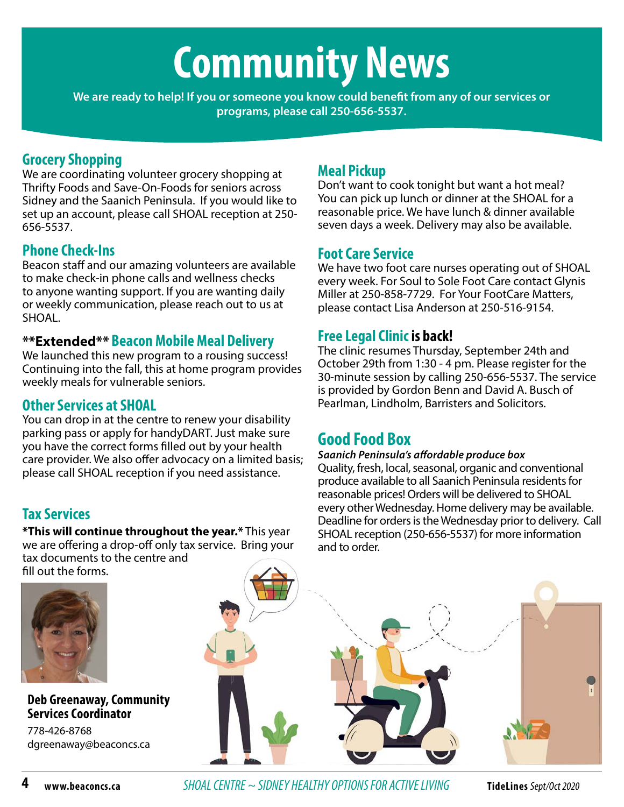# **Community News**

**We are ready to help! If you or someone you know could benefit from any of our services or programs, please call 250-656-5537.**

#### **Grocery Shopping**

We are coordinating volunteer grocery shopping at Thrifty Foods and Save-On-Foods for seniors across Sidney and the Saanich Peninsula. If you would like to set up an account, please call SHOAL reception at 250- 656-5537.

#### **Phone Check-Ins**

Beacon staff and our amazing volunteers are available to make check-in phone calls and wellness checks to anyone wanting support. If you are wanting daily or weekly communication, please reach out to us at SHOAL.

#### **\*\*Extended\*\* Beacon Mobile Meal Delivery**

We launched this new program to a rousing success! Continuing into the fall, this at home program provides weekly meals for vulnerable seniors.

#### **Other Services at SHOAL**

You can drop in at the centre to renew your disability parking pass or apply for handyDART. Just make sure you have the correct forms filled out by your health care provider. We also offer advocacy on a limited basis; please call SHOAL reception if you need assistance.

#### **Tax Services**

**\*This will continue throughout the year.\*** This year we are offering a drop-off only tax service. Bring your tax documents to the centre and fill out the forms.



#### **Deb Greenaway, Community Services Coordinator**

778-426-8768 dgreenaway@beaconcs.ca

#### **Meal Pickup**

Don't want to cook tonight but want a hot meal? You can pick up lunch or dinner at the SHOAL for a reasonable price. We have lunch & dinner available seven days a week. Delivery may also be available.

#### **Foot Care Service**

We have two foot care nurses operating out of SHOAL every week. For Soul to Sole Foot Care contact Glynis Miller at 250-858-7729. For Your FootCare Matters, please contact Lisa Anderson at 250-516-9154.

#### **Free Legal Clinic is back!**

The clinic resumes Thursday, September 24th and October 29th from 1:30 - 4 pm. Please register for the 30-minute session by calling 250-656-5537. The service is provided by Gordon Benn and David A. Busch of Pearlman, Lindholm, Barristers and Solicitors.

#### **Good Food Box**

#### *Saanich Peninsula's affordable produce box*

Quality, fresh, local, seasonal, organic and conventional produce available to all Saanich Peninsula residents for reasonable prices! Orders will be delivered to SHOAL every other Wednesday. Home delivery may be available. Deadline for orders is the Wednesday prior to delivery. Call SHOAL reception (250-656-5537) for more information and to order.

**4 www.beaconcs.ca** *SHOAL CENTRE ~ SIDNEY HEALTHY OPTIONS FOR ACTIVE LIVING* **TideLines** Sept/Oct 2020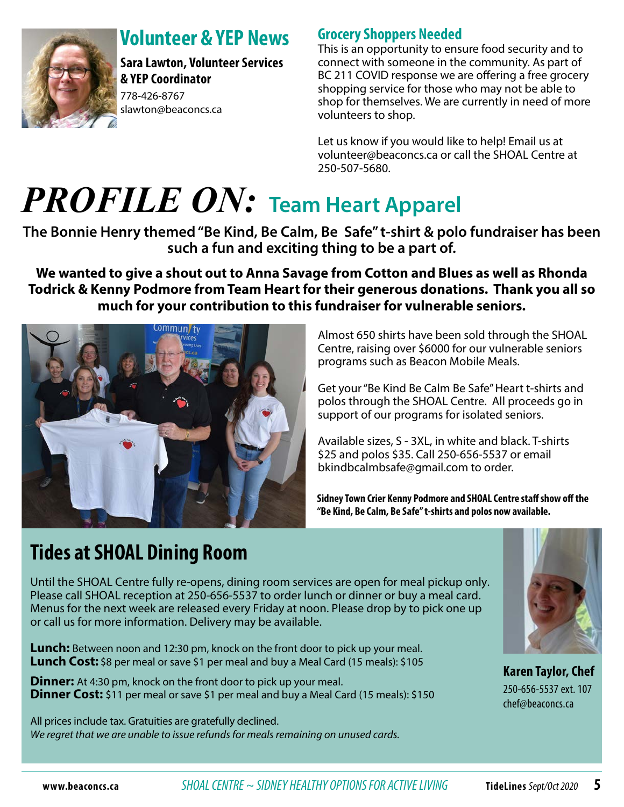

## **Volunteer & YEP News**

**Sara Lawton, Volunteer Services & YEP Coordinator**  778-426-8767 slawton@beaconcs.ca

#### **Grocery Shoppers Needed**

This is an opportunity to ensure food security and to connect with someone in the community. As part of BC 211 COVID response we are offering a free grocery shopping service for those who may not be able to shop for themselves. We are currently in need of more volunteers to shop.

Let us know if you would like to help! Email us at volunteer@beaconcs.ca or call the SHOAL Centre at 250-507-5680.

## *PROFILE ON:* **Team Heart Apparel**

**The Bonnie Henry themed "Be Kind, Be Calm, Be Safe" t-shirt & polo fundraiser has been such a fun and exciting thing to be a part of.** 

**We wanted to give a shout out to Anna Savage from Cotton and Blues as well as Rhonda Todrick & Kenny Podmore from Team Heart for their generous donations. Thank you all so much for your contribution to this fundraiser for vulnerable seniors.** 



Almost 650 shirts have been sold through the SHOAL Centre, raising over \$6000 for our vulnerable seniors programs such as Beacon Mobile Meals.

Get your "Be Kind Be Calm Be Safe" Heart t-shirts and polos through the SHOAL Centre. All proceeds go in support of our programs for isolated seniors.

Available sizes, S - 3XL, in white and black. T-shirts \$25 and polos \$35. Call 250-656-5537 or email bkindbcalmbsafe@gmail.com to order.

**Sidney Town Crier Kenny Podmore and SHOAL Centre staff show off the "Be Kind, Be Calm, Be Safe" t-shirts and polos now available.** 

## **Tides at SHOAL Dining Room**

Until the SHOAL Centre fully re-opens, dining room services are open for meal pickup only. Please call SHOAL reception at 250-656-5537 to order lunch or dinner or buy a meal card. Menus for the next week are released every Friday at noon. Please drop by to pick one up or call us for more information. Delivery may be available.

**Lunch:** Between noon and 12:30 pm, knock on the front door to pick up your meal. **Lunch Cost:** \$8 per meal or save \$1 per meal and buy a Meal Card (15 meals): \$105

**Dinner:** At 4:30 pm, knock on the front door to pick up your meal. **Dinner Cost:** \$11 per meal or save \$1 per meal and buy a Meal Card (15 meals): \$150

All prices include tax. Gratuities are gratefully declined. *We regret that we are unable to issue refunds for meals remaining on unused cards.*



**Karen Taylor, Chef**  250-656-5537 ext. 107 chef@beaconcs.ca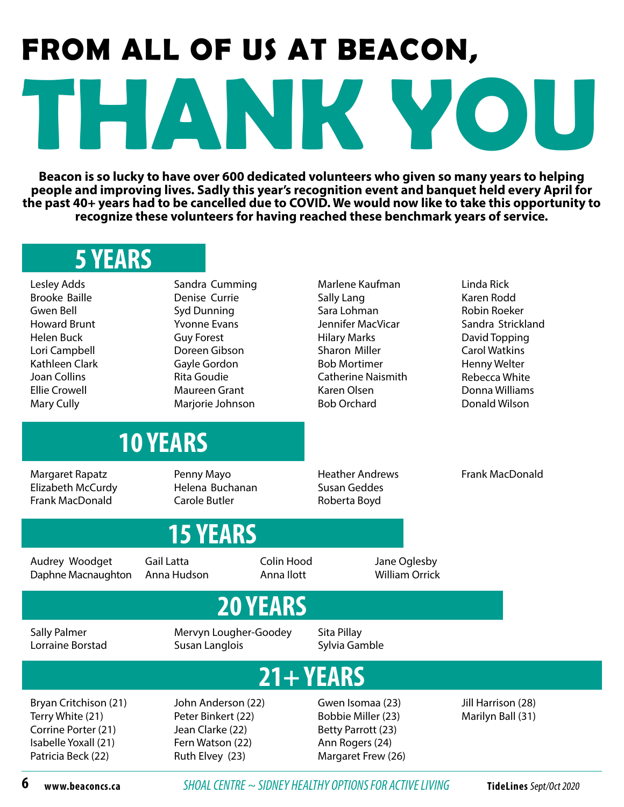# **THANK YOU FROM ALL OF US AT BEACON,**

**Beacon is so lucky to have over 600 dedicated volunteers who given so many years to helping people and improving lives. Sadly this year's recognition event and banquet held every April for the past 40+ years had to be cancelled due to COVID. We would now like to take this opportunity to recognize these volunteers for having reached these benchmark years of service.**

## **5 YEARS**

Lesley Adds Brooke Baille Gwen Bell Howard Brunt Helen Buck Lori Campbell Kathleen Clark Joan Collins Ellie Crowell Mary Cully

Sandra Cumming Denise Currie Syd Dunning Yvonne Evans Guy Forest Doreen Gibson Gayle Gordon Rita Goudie Maureen Grant Marjorie Johnson

Marlene Kaufman Sally Lang Sara Lohman Jennifer MacVicar Hilary Marks Sharon Miller Bob Mortimer Catherine Naismith Karen Olsen Bob Orchard

Linda Rick Karen Rodd Robin Roeker Sandra Strickland David Topping Carol Watkins Henny Welter Rebecca White Donna Williams Donald Wilson

## **10 YEARS**

Margaret Rapatz Elizabeth McCurdy Frank MacDonald

Penny Mayo Helena Buchanan Carole Butler

**15 YEARS**

Heather Andrews Susan Geddes Roberta Boyd

> Jane Oglesby William Orrick

Frank MacDonald

Audrey Woodget Daphne Macnaughton Gail Latta Anna Hudson

## **20 YEARS**

Colin Hood Anna Ilott

Sally Palmer Lorraine Borstad Mervyn Lougher-Goodey Susan Langlois

Sita Pillay Sylvia Gamble

## **21+ YEARS**

Bryan Critchison (21) Terry White (21) Corrine Porter (21) Isabelle Yoxall (21) Patricia Beck (22)

John Anderson (22) Peter Binkert (22) Jean Clarke (22) Fern Watson (22) Ruth Elvey (23)

Gwen Isomaa (23) Bobbie Miller (23) Betty Parrott (23) Ann Rogers (24) Margaret Frew (26)

Jill Harrison (28) Marilyn Ball (31)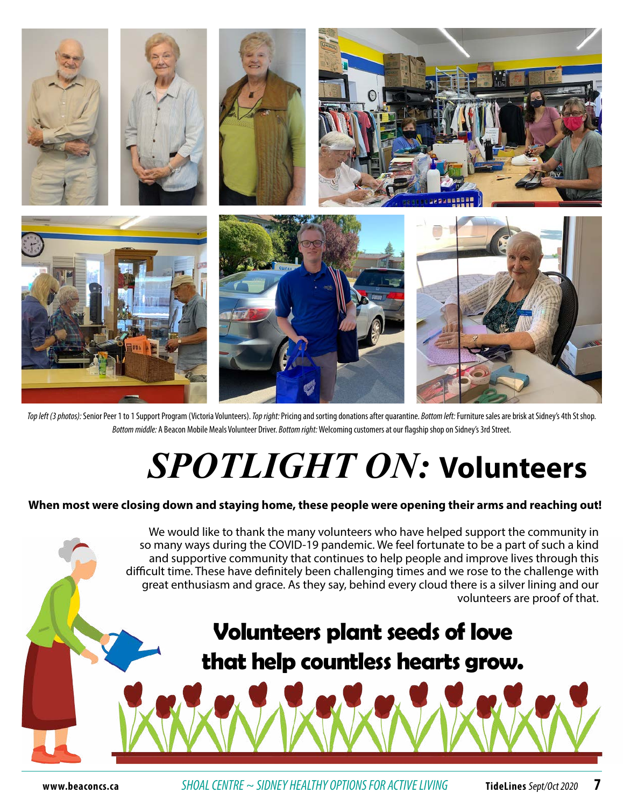

*Top left (3 photos):* Senior Peer 1 to 1 Support Program (Victoria Volunteers). *Top right:* Pricing and sorting donations after quarantine. *Bottom left:* Furniture sales are brisk at Sidney's 4th St shop. *Bottom middle:* A Beacon Mobile Meals Volunteer Driver. *Bottom right:* Welcoming customers at our flagship shop on Sidney's 3rd Street.

# *SPOTLIGHT ON:* **Volunteers**

#### **When most were closing down and staying home, these people were opening their arms and reaching out!**

 We would like to thank the many volunteers who have helped support the community in so many ways during the COVID-19 pandemic. We feel fortunate to be a part of such a kind and supportive community that continues to help people and improve lives through this difficult time. These have definitely been challenging times and we rose to the challenge with great enthusiasm and grace. As they say, behind every cloud there is a silver lining and our volunteers are proof of that. **Volunteers plant seeds of love that help countless hearts grow.**